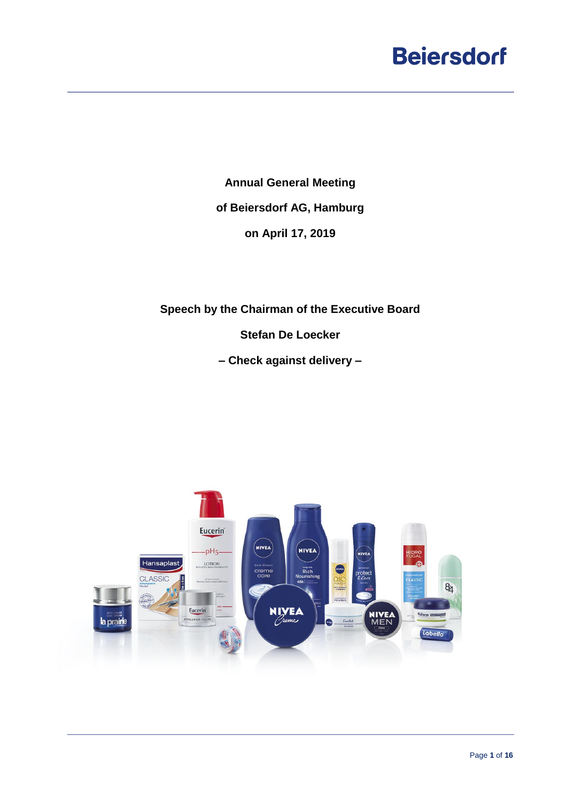**Annual General Meeting of Beiersdorf AG, Hamburg on April 17, 2019**

**Speech by the Chairman of the Executive Board**

**Stefan De Loecker**

**– Check against delivery –**

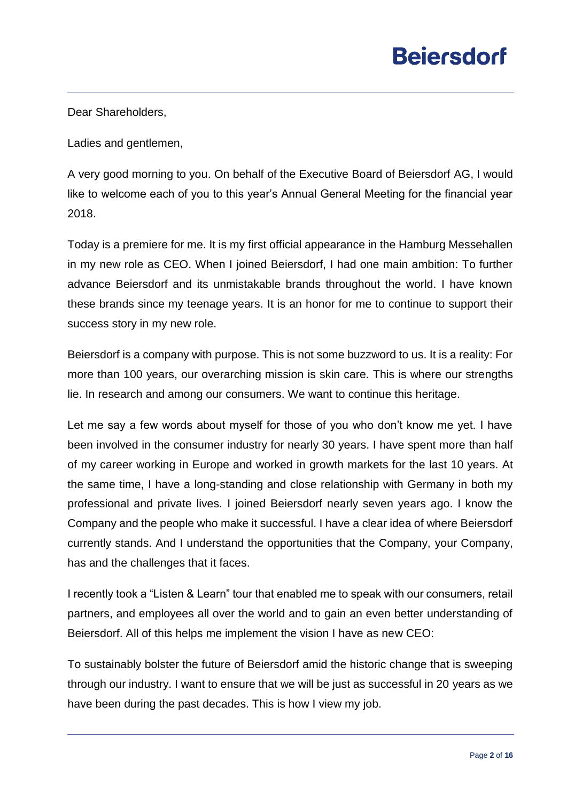Dear Shareholders,

Ladies and gentlemen,

A very good morning to you. On behalf of the Executive Board of Beiersdorf AG, I would like to welcome each of you to this year's Annual General Meeting for the financial year 2018.

Today is a premiere for me. It is my first official appearance in the Hamburg Messehallen in my new role as CEO. When I joined Beiersdorf, I had one main ambition: To further advance Beiersdorf and its unmistakable brands throughout the world. I have known these brands since my teenage years. It is an honor for me to continue to support their success story in my new role.

Beiersdorf is a company with purpose. This is not some buzzword to us. It is a reality: For more than 100 years, our overarching mission is skin care. This is where our strengths lie. In research and among our consumers. We want to continue this heritage.

Let me say a few words about myself for those of you who don't know me yet. I have been involved in the consumer industry for nearly 30 years. I have spent more than half of my career working in Europe and worked in growth markets for the last 10 years. At the same time, I have a long-standing and close relationship with Germany in both my professional and private lives. I joined Beiersdorf nearly seven years ago. I know the Company and the people who make it successful. I have a clear idea of where Beiersdorf currently stands. And I understand the opportunities that the Company, your Company, has and the challenges that it faces.

I recently took a "Listen & Learn" tour that enabled me to speak with our consumers, retail partners, and employees all over the world and to gain an even better understanding of Beiersdorf. All of this helps me implement the vision I have as new CEO:

To sustainably bolster the future of Beiersdorf amid the historic change that is sweeping through our industry. I want to ensure that we will be just as successful in 20 years as we have been during the past decades. This is how I view my job.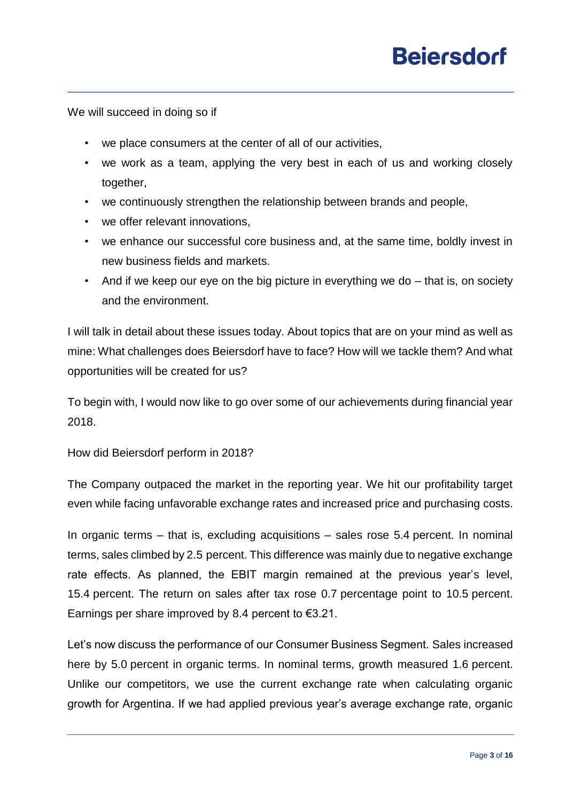We will succeed in doing so if

- we place consumers at the center of all of our activities,
- we work as a team, applying the very best in each of us and working closely together,
- we continuously strengthen the relationship between brands and people,
- we offer relevant innovations,
- we enhance our successful core business and, at the same time, boldly invest in new business fields and markets.
- And if we keep our eye on the big picture in everything we do that is, on society and the environment.

I will talk in detail about these issues today. About topics that are on your mind as well as mine: What challenges does Beiersdorf have to face? How will we tackle them? And what opportunities will be created for us?

To begin with, I would now like to go over some of our achievements during financial year 2018.

How did Beiersdorf perform in 2018?

The Company outpaced the market in the reporting year. We hit our profitability target even while facing unfavorable exchange rates and increased price and purchasing costs.

In organic terms – that is, excluding acquisitions – sales rose 5.4 percent. In nominal terms, sales climbed by 2.5 percent. This difference was mainly due to negative exchange rate effects. As planned, the EBIT margin remained at the previous year's level, 15.4 percent. The return on sales after tax rose 0.7 percentage point to 10.5 percent. Earnings per share improved by 8.4 percent to  $\epsilon$ 3.21.

Let's now discuss the performance of our Consumer Business Segment. Sales increased here by 5.0 percent in organic terms. In nominal terms, growth measured 1.6 percent. Unlike our competitors, we use the current exchange rate when calculating organic growth for Argentina. If we had applied previous year's average exchange rate, organic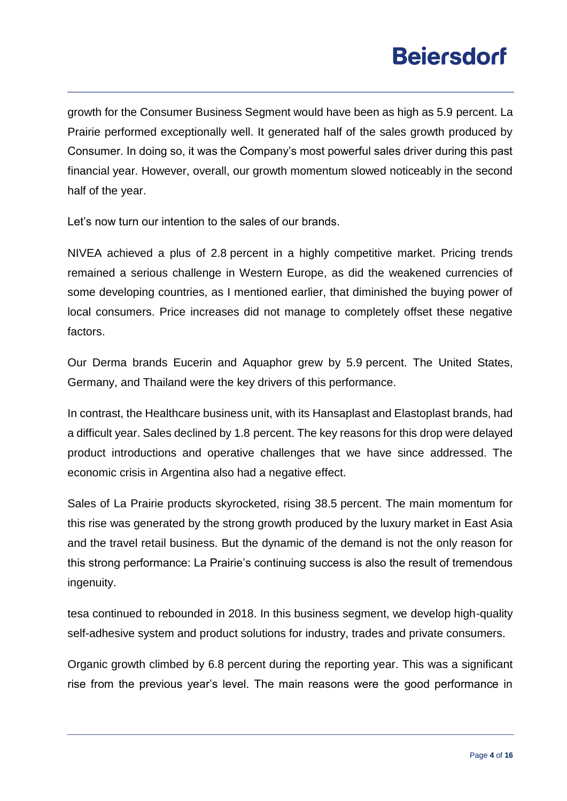growth for the Consumer Business Segment would have been as high as 5.9 percent. La Prairie performed exceptionally well. It generated half of the sales growth produced by Consumer. In doing so, it was the Company's most powerful sales driver during this past financial year. However, overall, our growth momentum slowed noticeably in the second half of the year.

Let's now turn our intention to the sales of our brands.

NIVEA achieved a plus of 2.8 percent in a highly competitive market. Pricing trends remained a serious challenge in Western Europe, as did the weakened currencies of some developing countries, as I mentioned earlier, that diminished the buying power of local consumers. Price increases did not manage to completely offset these negative factors.

Our Derma brands Eucerin and Aquaphor grew by 5.9 percent. The United States, Germany, and Thailand were the key drivers of this performance.

In contrast, the Healthcare business unit, with its Hansaplast and Elastoplast brands, had a difficult year. Sales declined by 1.8 percent. The key reasons for this drop were delayed product introductions and operative challenges that we have since addressed. The economic crisis in Argentina also had a negative effect.

Sales of La Prairie products skyrocketed, rising 38.5 percent. The main momentum for this rise was generated by the strong growth produced by the luxury market in East Asia and the travel retail business. But the dynamic of the demand is not the only reason for this strong performance: La Prairie's continuing success is also the result of tremendous ingenuity.

tesa continued to rebounded in 2018. In this business segment, we develop high-quality self-adhesive system and product solutions for industry, trades and private consumers.

Organic growth climbed by 6.8 percent during the reporting year. This was a significant rise from the previous year's level. The main reasons were the good performance in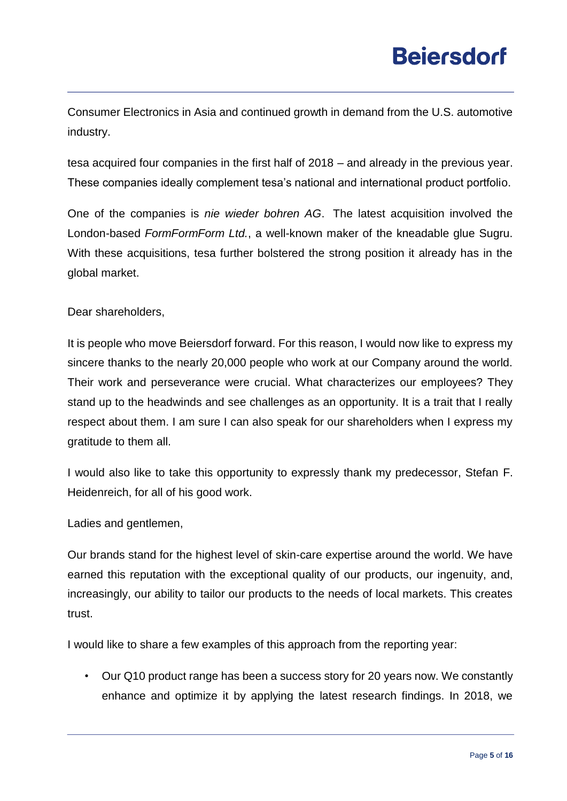Consumer Electronics in Asia and continued growth in demand from the U.S. automotive industry.

tesa acquired four companies in the first half of 2018 – and already in the previous year. These companies ideally complement tesa's national and international product portfolio.

One of the companies is *nie wieder bohren AG*. The latest acquisition involved the London-based *FormFormForm Ltd.*, a well-known maker of the kneadable glue Sugru. With these acquisitions, tesa further bolstered the strong position it already has in the global market.

#### Dear shareholders,

It is people who move Beiersdorf forward. For this reason, I would now like to express my sincere thanks to the nearly 20,000 people who work at our Company around the world. Their work and perseverance were crucial. What characterizes our employees? They stand up to the headwinds and see challenges as an opportunity. It is a trait that I really respect about them. I am sure I can also speak for our shareholders when I express my gratitude to them all.

I would also like to take this opportunity to expressly thank my predecessor, Stefan F. Heidenreich, for all of his good work.

Ladies and gentlemen,

Our brands stand for the highest level of skin-care expertise around the world. We have earned this reputation with the exceptional quality of our products, our ingenuity, and, increasingly, our ability to tailor our products to the needs of local markets. This creates trust.

I would like to share a few examples of this approach from the reporting year:

• Our Q10 product range has been a success story for 20 years now. We constantly enhance and optimize it by applying the latest research findings. In 2018, we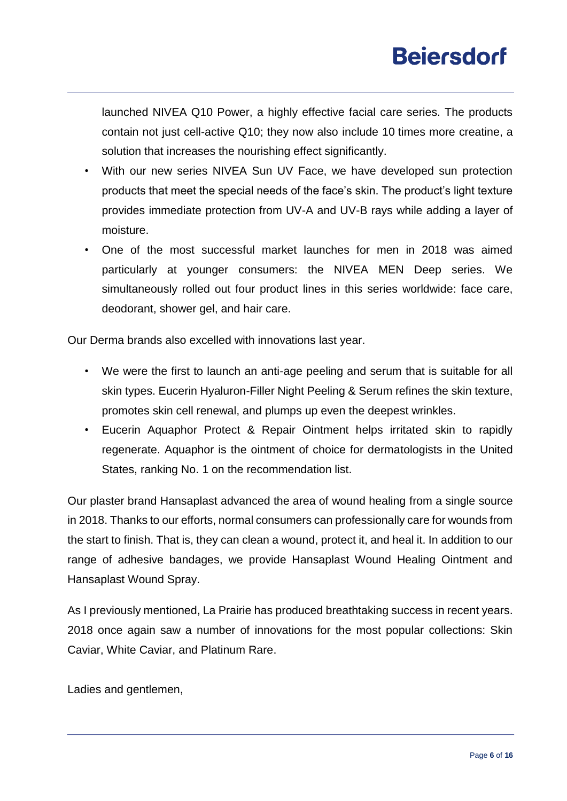launched NIVEA Q10 Power, a highly effective facial care series. The products contain not just cell-active Q10; they now also include 10 times more creatine, a solution that increases the nourishing effect significantly.

- With our new series NIVEA Sun UV Face, we have developed sun protection products that meet the special needs of the face's skin. The product's light texture provides immediate protection from UV-A and UV-B rays while adding a layer of moisture.
- One of the most successful market launches for men in 2018 was aimed particularly at younger consumers: the NIVEA MEN Deep series. We simultaneously rolled out four product lines in this series worldwide: face care, deodorant, shower gel, and hair care.

Our Derma brands also excelled with innovations last year.

- We were the first to launch an anti-age peeling and serum that is suitable for all skin types. Eucerin Hyaluron-Filler Night Peeling & Serum refines the skin texture, promotes skin cell renewal, and plumps up even the deepest wrinkles.
- Eucerin Aquaphor Protect & Repair Ointment helps irritated skin to rapidly regenerate. Aquaphor is the ointment of choice for dermatologists in the United States, ranking No. 1 on the recommendation list.

Our plaster brand Hansaplast advanced the area of wound healing from a single source in 2018. Thanks to our efforts, normal consumers can professionally care for wounds from the start to finish. That is, they can clean a wound, protect it, and heal it. In addition to our range of adhesive bandages, we provide Hansaplast Wound Healing Ointment and Hansaplast Wound Spray.

As I previously mentioned, La Prairie has produced breathtaking success in recent years. 2018 once again saw a number of innovations for the most popular collections: Skin Caviar, White Caviar, and Platinum Rare.

Ladies and gentlemen,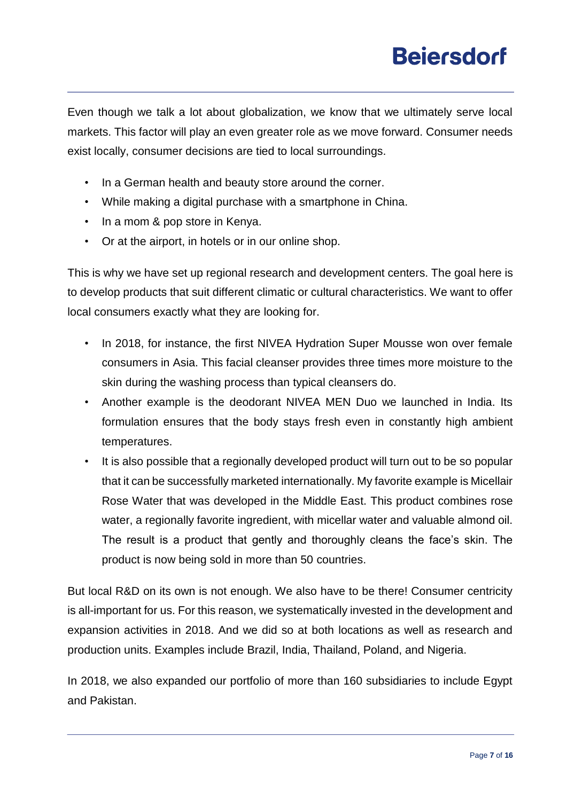Even though we talk a lot about globalization, we know that we ultimately serve local markets. This factor will play an even greater role as we move forward. Consumer needs exist locally, consumer decisions are tied to local surroundings.

- In a German health and beauty store around the corner.
- While making a digital purchase with a smartphone in China.
- In a mom & pop store in Kenya.
- Or at the airport, in hotels or in our online shop.

This is why we have set up regional research and development centers. The goal here is to develop products that suit different climatic or cultural characteristics. We want to offer local consumers exactly what they are looking for.

- In 2018, for instance, the first NIVEA Hydration Super Mousse won over female consumers in Asia. This facial cleanser provides three times more moisture to the skin during the washing process than typical cleansers do.
- Another example is the deodorant NIVEA MEN Duo we launched in India. Its formulation ensures that the body stays fresh even in constantly high ambient temperatures.
- It is also possible that a regionally developed product will turn out to be so popular that it can be successfully marketed internationally. My favorite example is Micellair Rose Water that was developed in the Middle East. This product combines rose water, a regionally favorite ingredient, with micellar water and valuable almond oil. The result is a product that gently and thoroughly cleans the face's skin. The product is now being sold in more than 50 countries.

But local R&D on its own is not enough. We also have to be there! Consumer centricity is all-important for us. For this reason, we systematically invested in the development and expansion activities in 2018. And we did so at both locations as well as research and production units. Examples include Brazil, India, Thailand, Poland, and Nigeria.

In 2018, we also expanded our portfolio of more than 160 subsidiaries to include Egypt and Pakistan.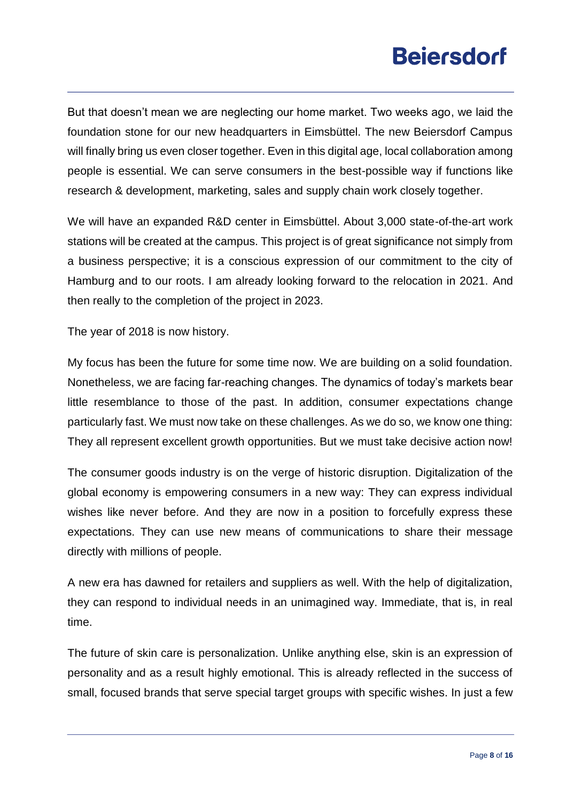But that doesn't mean we are neglecting our home market. Two weeks ago, we laid the foundation stone for our new headquarters in Eimsbüttel. The new Beiersdorf Campus will finally bring us even closer together. Even in this digital age, local collaboration among people is essential. We can serve consumers in the best-possible way if functions like research & development, marketing, sales and supply chain work closely together.

We will have an expanded R&D center in Eimsbüttel. About 3,000 state-of-the-art work stations will be created at the campus. This project is of great significance not simply from a business perspective; it is a conscious expression of our commitment to the city of Hamburg and to our roots. I am already looking forward to the relocation in 2021. And then really to the completion of the project in 2023.

The year of 2018 is now history.

My focus has been the future for some time now. We are building on a solid foundation. Nonetheless, we are facing far-reaching changes. The dynamics of today's markets bear little resemblance to those of the past. In addition, consumer expectations change particularly fast. We must now take on these challenges. As we do so, we know one thing: They all represent excellent growth opportunities. But we must take decisive action now!

The consumer goods industry is on the verge of historic disruption. Digitalization of the global economy is empowering consumers in a new way: They can express individual wishes like never before. And they are now in a position to forcefully express these expectations. They can use new means of communications to share their message directly with millions of people.

A new era has dawned for retailers and suppliers as well. With the help of digitalization, they can respond to individual needs in an unimagined way. Immediate, that is, in real time.

The future of skin care is personalization. Unlike anything else, skin is an expression of personality and as a result highly emotional. This is already reflected in the success of small, focused brands that serve special target groups with specific wishes. In just a few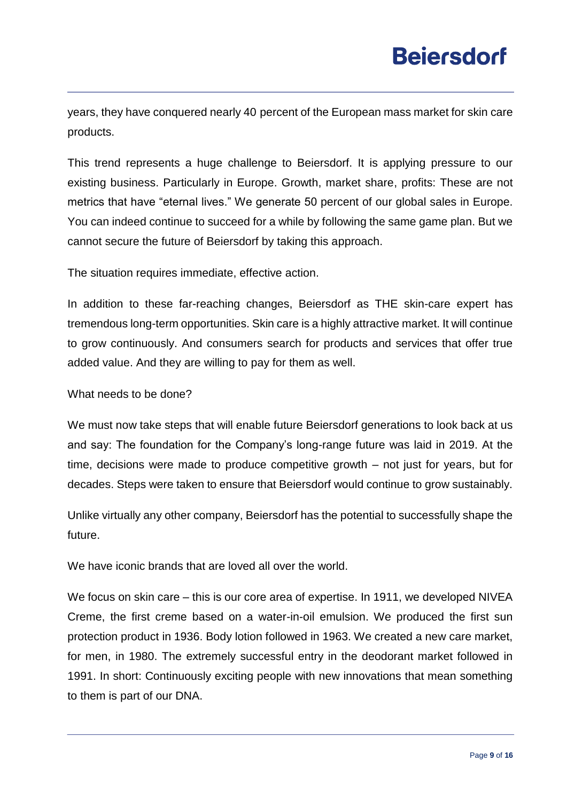years, they have conquered nearly 40 percent of the European mass market for skin care products.

This trend represents a huge challenge to Beiersdorf. It is applying pressure to our existing business. Particularly in Europe. Growth, market share, profits: These are not metrics that have "eternal lives." We generate 50 percent of our global sales in Europe. You can indeed continue to succeed for a while by following the same game plan. But we cannot secure the future of Beiersdorf by taking this approach.

The situation requires immediate, effective action.

In addition to these far-reaching changes, Beiersdorf as THE skin-care expert has tremendous long-term opportunities. Skin care is a highly attractive market. It will continue to grow continuously. And consumers search for products and services that offer true added value. And they are willing to pay for them as well.

What needs to be done?

We must now take steps that will enable future Beiersdorf generations to look back at us and say: The foundation for the Company's long-range future was laid in 2019. At the time, decisions were made to produce competitive growth – not just for years, but for decades. Steps were taken to ensure that Beiersdorf would continue to grow sustainably.

Unlike virtually any other company, Beiersdorf has the potential to successfully shape the future.

We have iconic brands that are loved all over the world.

We focus on skin care – this is our core area of expertise. In 1911, we developed NIVEA Creme, the first creme based on a water-in-oil emulsion. We produced the first sun protection product in 1936. Body lotion followed in 1963. We created a new care market, for men, in 1980. The extremely successful entry in the deodorant market followed in 1991. In short: Continuously exciting people with new innovations that mean something to them is part of our DNA.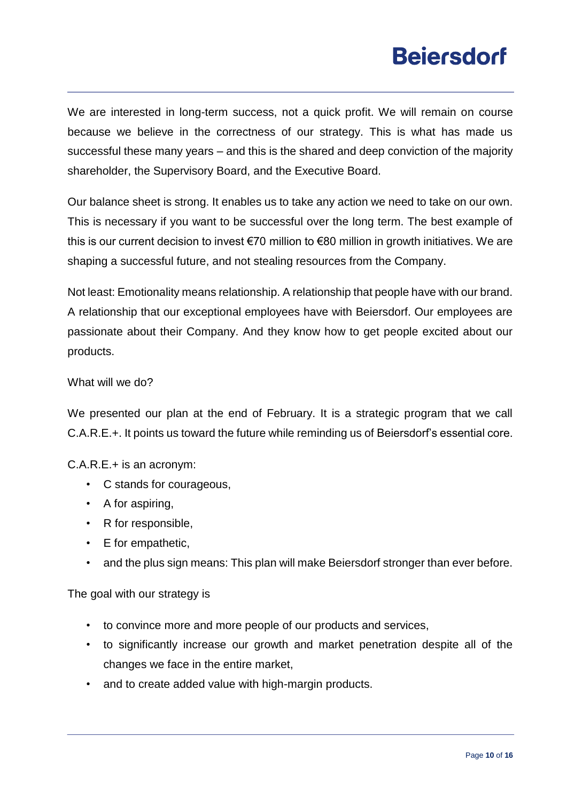We are interested in long-term success, not a quick profit. We will remain on course because we believe in the correctness of our strategy. This is what has made us successful these many years – and this is the shared and deep conviction of the majority shareholder, the Supervisory Board, and the Executive Board.

Our balance sheet is strong. It enables us to take any action we need to take on our own. This is necessary if you want to be successful over the long term. The best example of this is our current decision to invest €70 million to €80 million in growth initiatives. We are shaping a successful future, and not stealing resources from the Company.

Not least: Emotionality means relationship. A relationship that people have with our brand. A relationship that our exceptional employees have with Beiersdorf. Our employees are passionate about their Company. And they know how to get people excited about our products.

#### What will we do?

We presented our plan at the end of February. It is a strategic program that we call C.A.R.E.+. It points us toward the future while reminding us of Beiersdorf's essential core.

C.A.R.E.+ is an acronym:

- C stands for courageous,
- A for aspiring,
- R for responsible,
- E for empathetic,
- and the plus sign means: This plan will make Beiersdorf stronger than ever before.

The goal with our strategy is

- to convince more and more people of our products and services,
- to significantly increase our growth and market penetration despite all of the changes we face in the entire market,
- and to create added value with high-margin products.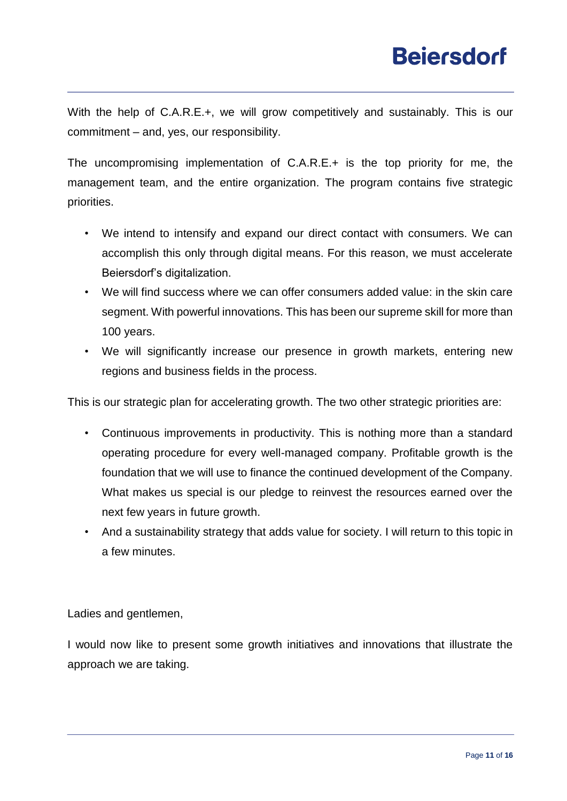With the help of C.A.R.E.+, we will grow competitively and sustainably. This is our commitment – and, yes, our responsibility.

The uncompromising implementation of C.A.R.E.+ is the top priority for me, the management team, and the entire organization. The program contains five strategic priorities.

- We intend to intensify and expand our direct contact with consumers. We can accomplish this only through digital means. For this reason, we must accelerate Beiersdorf's digitalization.
- We will find success where we can offer consumers added value: in the skin care segment. With powerful innovations. This has been our supreme skill for more than 100 years.
- We will significantly increase our presence in growth markets, entering new regions and business fields in the process.

This is our strategic plan for accelerating growth. The two other strategic priorities are:

- Continuous improvements in productivity. This is nothing more than a standard operating procedure for every well-managed company. Profitable growth is the foundation that we will use to finance the continued development of the Company. What makes us special is our pledge to reinvest the resources earned over the next few years in future growth.
- And a sustainability strategy that adds value for society. I will return to this topic in a few minutes.

Ladies and gentlemen,

I would now like to present some growth initiatives and innovations that illustrate the approach we are taking.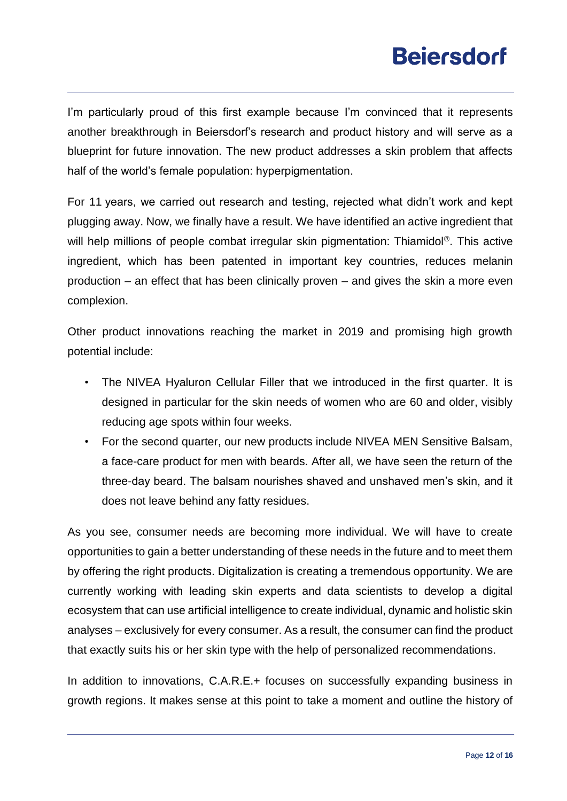I'm particularly proud of this first example because I'm convinced that it represents another breakthrough in Beiersdorf's research and product history and will serve as a blueprint for future innovation. The new product addresses a skin problem that affects half of the world's female population: hyperpigmentation.

For 11 years, we carried out research and testing, rejected what didn't work and kept plugging away. Now, we finally have a result. We have identified an active ingredient that will help millions of people combat irregular skin pigmentation: Thiamidol<sup>®</sup>. This active ingredient, which has been patented in important key countries, reduces melanin production – an effect that has been clinically proven – and gives the skin a more even complexion.

Other product innovations reaching the market in 2019 and promising high growth potential include:

- The NIVEA Hyaluron Cellular Filler that we introduced in the first quarter. It is designed in particular for the skin needs of women who are 60 and older, visibly reducing age spots within four weeks.
- For the second quarter, our new products include NIVEA MEN Sensitive Balsam, a face-care product for men with beards. After all, we have seen the return of the three-day beard. The balsam nourishes shaved and unshaved men's skin, and it does not leave behind any fatty residues.

As you see, consumer needs are becoming more individual. We will have to create opportunities to gain a better understanding of these needs in the future and to meet them by offering the right products. Digitalization is creating a tremendous opportunity. We are currently working with leading skin experts and data scientists to develop a digital ecosystem that can use artificial intelligence to create individual, dynamic and holistic skin analyses – exclusively for every consumer. As a result, the consumer can find the product that exactly suits his or her skin type with the help of personalized recommendations.

In addition to innovations, C.A.R.E.+ focuses on successfully expanding business in growth regions. It makes sense at this point to take a moment and outline the history of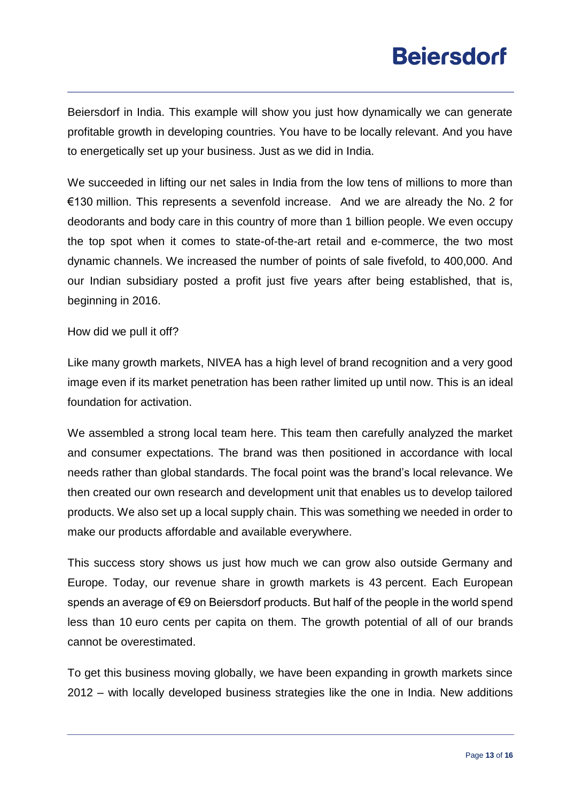Beiersdorf in India. This example will show you just how dynamically we can generate profitable growth in developing countries. You have to be locally relevant. And you have to energetically set up your business. Just as we did in India.

We succeeded in lifting our net sales in India from the low tens of millions to more than €130 million. This represents a sevenfold increase. And we are already the No. 2 for deodorants and body care in this country of more than 1 billion people. We even occupy the top spot when it comes to state-of-the-art retail and e-commerce, the two most dynamic channels. We increased the number of points of sale fivefold, to 400,000. And our Indian subsidiary posted a profit just five years after being established, that is, beginning in 2016.

How did we pull it off?

Like many growth markets, NIVEA has a high level of brand recognition and a very good image even if its market penetration has been rather limited up until now. This is an ideal foundation for activation.

We assembled a strong local team here. This team then carefully analyzed the market and consumer expectations. The brand was then positioned in accordance with local needs rather than global standards. The focal point was the brand's local relevance. We then created our own research and development unit that enables us to develop tailored products. We also set up a local supply chain. This was something we needed in order to make our products affordable and available everywhere.

This success story shows us just how much we can grow also outside Germany and Europe. Today, our revenue share in growth markets is 43 percent. Each European spends an average of €9 on Beiersdorf products. But half of the people in the world spend less than 10 euro cents per capita on them. The growth potential of all of our brands cannot be overestimated.

To get this business moving globally, we have been expanding in growth markets since 2012 – with locally developed business strategies like the one in India. New additions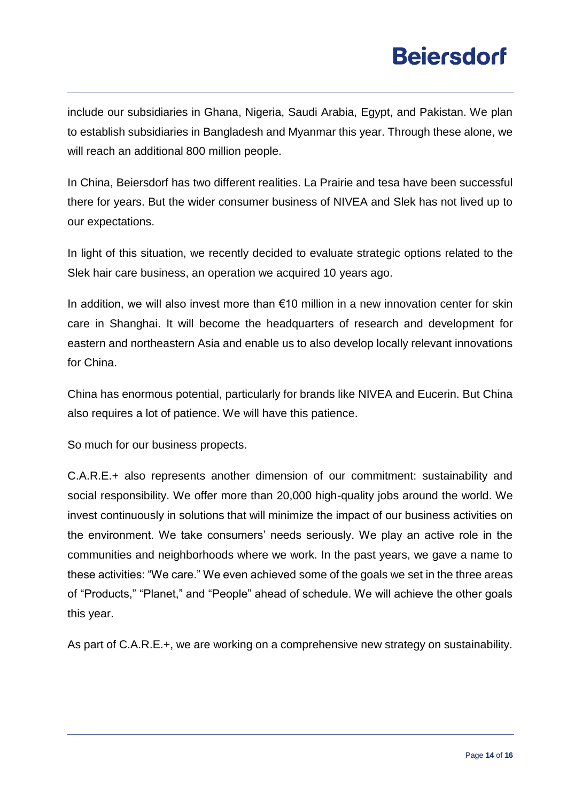include our subsidiaries in Ghana, Nigeria, Saudi Arabia, Egypt, and Pakistan. We plan to establish subsidiaries in Bangladesh and Myanmar this year. Through these alone, we will reach an additional 800 million people.

In China, Beiersdorf has two different realities. La Prairie and tesa have been successful there for years. But the wider consumer business of NIVEA and Slek has not lived up to our expectations.

In light of this situation, we recently decided to evaluate strategic options related to the Slek hair care business, an operation we acquired 10 years ago.

In addition, we will also invest more than €10 million in a new innovation center for skin care in Shanghai. It will become the headquarters of research and development for eastern and northeastern Asia and enable us to also develop locally relevant innovations for China.

China has enormous potential, particularly for brands like NIVEA and Eucerin. But China also requires a lot of patience. We will have this patience.

So much for our business propects.

C.A.R.E.+ also represents another dimension of our commitment: sustainability and social responsibility. We offer more than 20,000 high-quality jobs around the world. We invest continuously in solutions that will minimize the impact of our business activities on the environment. We take consumers' needs seriously. We play an active role in the communities and neighborhoods where we work. In the past years, we gave a name to these activities: "We care." We even achieved some of the goals we set in the three areas of "Products," "Planet," and "People" ahead of schedule. We will achieve the other goals this year.

As part of C.A.R.E.+, we are working on a comprehensive new strategy on sustainability.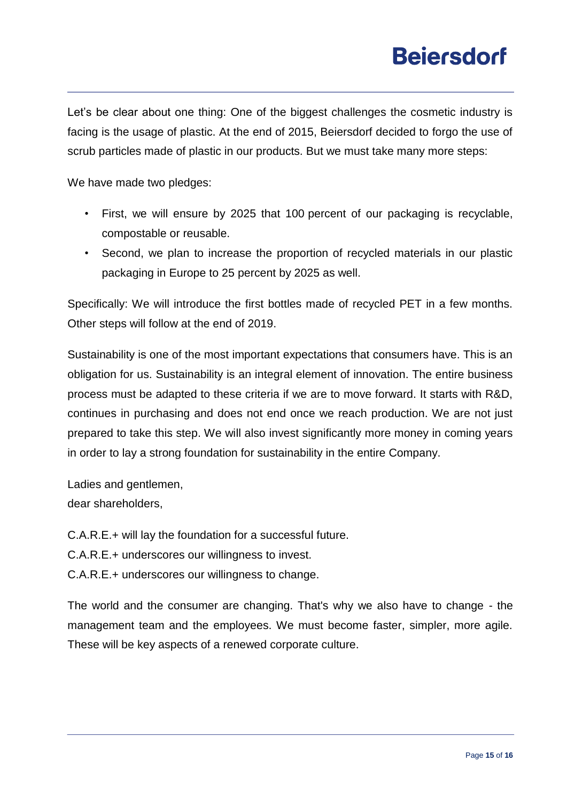Let's be clear about one thing: One of the biggest challenges the cosmetic industry is facing is the usage of plastic. At the end of 2015, Beiersdorf decided to forgo the use of scrub particles made of plastic in our products. But we must take many more steps:

We have made two pledges:

- First, we will ensure by 2025 that 100 percent of our packaging is recyclable, compostable or reusable.
- Second, we plan to increase the proportion of recycled materials in our plastic packaging in Europe to 25 percent by 2025 as well.

Specifically: We will introduce the first bottles made of recycled PET in a few months. Other steps will follow at the end of 2019.

Sustainability is one of the most important expectations that consumers have. This is an obligation for us. Sustainability is an integral element of innovation. The entire business process must be adapted to these criteria if we are to move forward. It starts with R&D, continues in purchasing and does not end once we reach production. We are not just prepared to take this step. We will also invest significantly more money in coming years in order to lay a strong foundation for sustainability in the entire Company.

Ladies and gentlemen. dear shareholders,

- C.A.R.E.+ will lay the foundation for a successful future.
- C.A.R.E.+ underscores our willingness to invest.
- C.A.R.E.+ underscores our willingness to change.

The world and the consumer are changing. That's why we also have to change - the management team and the employees. We must become faster, simpler, more agile. These will be key aspects of a renewed corporate culture.